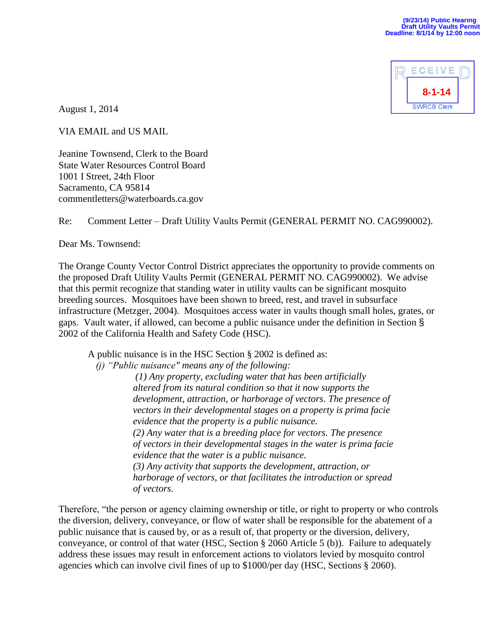

August 1, 2014

VIA EMAIL and US MAIL

Jeanine Townsend, Clerk to the Board State Water Resources Control Board 1001 I Street, 24th Floor Sacramento, CA 95814 commentletters@waterboards.ca.gov

## Re: Comment Letter – Draft Utility Vaults Permit (GENERAL PERMIT NO. CAG990002).

Dear Ms. Townsend:

The Orange County Vector Control District appreciates the opportunity to provide comments on the proposed Draft Utility Vaults Permit (GENERAL PERMIT NO. CAG990002). We advise that this permit recognize that standing water in utility vaults can be significant mosquito breeding sources. Mosquitoes have been shown to breed, rest, and travel in subsurface infrastructure (Metzger, 2004). Mosquitoes access water in vaults though small holes, grates, or gaps. Vault water, if allowed, can become a public nuisance under the definition in Section § 2002 of the California Health and Safety Code (HSC).

A public nuisance is in the HSC Section § 2002 is defined as:

*(j) "Public nuisance" means any of the following:*

 *(1) Any property, excluding water that has been artificially altered from its natural condition so that it now supports the development, attraction, or harborage of vectors. The presence of vectors in their developmental stages on a property is prima facie evidence that the property is a public nuisance. (2) Any water that is a breeding place for vectors. The presence of vectors in their developmental stages in the water is prima facie evidence that the water is a public nuisance. (3) Any activity that supports the development, attraction, or harborage of vectors, or that facilitates the introduction or spread of vectors.*

Therefore, "the person or agency claiming ownership or title, or right to property or who controls the diversion, delivery, conveyance, or flow of water shall be responsible for the abatement of a public nuisance that is caused by, or as a result of, that property or the diversion, delivery, conveyance, or control of that water (HSC, Section § 2060 Article 5 (b)). Failure to adequately address these issues may result in enforcement actions to violators levied by mosquito control agencies which can involve civil fines of up to \$1000/per day (HSC, Sections § 2060).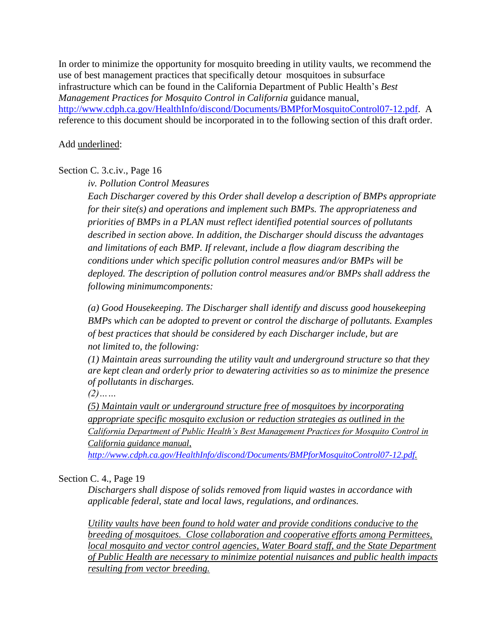In order to minimize the opportunity for mosquito breeding in utility vaults, we recommend the use of best management practices that specifically detour mosquitoes in subsurface infrastructure which can be found in the California Department of Public Health's *Best Management Practices for Mosquito Control in California* guidance manual, [http://www.cdph.ca.gov/HealthInfo/discond/Documents/BMPforMosquitoControl07-12.pdf.](http://www.cdph.ca.gov/HealthInfo/discond/Documents/BMPforMosquitoControl07-12.pdf) A reference to this document should be incorporated in to the following section of this draft order.

## Add underlined:

## Section C. 3.c.iv., Page 16

*iv. Pollution Control Measures*

*Each Discharger covered by this Order shall develop a description of BMPs appropriate for their site(s) and operations and implement such BMPs. The appropriateness and priorities of BMPs in a PLAN must reflect identified potential sources of pollutants described in section above. In addition, the Discharger should discuss the advantages and limitations of each BMP. If relevant, include a flow diagram describing the conditions under which specific pollution control measures and/or BMPs will be deployed. The description of pollution control measures and/or BMPs shall address the following minimumcomponents:*

*(a) Good Housekeeping. The Discharger shall identify and discuss good housekeeping BMPs which can be adopted to prevent or control the discharge of pollutants. Examples of best practices that should be considered by each Discharger include, but are not limited to, the following:*

*(1) Maintain areas surrounding the utility vault and underground structure so that they are kept clean and orderly prior to dewatering activities so as to minimize the presence of pollutants in discharges.* 

*(2)……*

*(5) Maintain vault or underground structure free of mosquitoes by incorporating appropriate specific mosquito exclusion or reduction strategies as outlined in the California Department of Public Health's Best Management Practices for Mosquito Control in California guidance manual,* 

*[http://www.cdph.ca.gov/HealthInfo/discond/Documents/BMPforMosquitoControl07-12.pdf.](http://www.cdph.ca.gov/HealthInfo/discond/Documents/BMPforMosquitoControl07-12.pdf)* 

## Section C. 4., Page 19

*Dischargers shall dispose of solids removed from liquid wastes in accordance with applicable federal, state and local laws, regulations, and ordinances.*

*Utility vaults have been found to hold water and provide conditions conducive to the breeding of mosquitoes. Close collaboration and cooperative efforts among Permittees, local mosquito and vector control agencies, Water Board staff, and the State Department of Public Health are necessary to minimize potential nuisances and public health impacts resulting from vector breeding.*